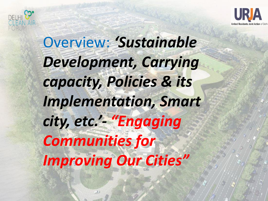



Overview: 'Sustainable *Development, Carrying capacity, Policies & its Implementation, Smart city, etc.'- "Engaging Communities for Improving Our Cities"*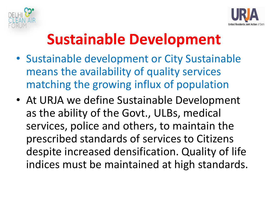



# **Sustainable Development**

- Sustainable development or City Sustainable means the availability of quality services matching the growing influx of population
- At URJA we define Sustainable Development as the ability of the Govt., ULBs, medical services, police and others, to maintain the prescribed standards of services to Citizens despite increased densification. Quality of life indices must be maintained at high standards.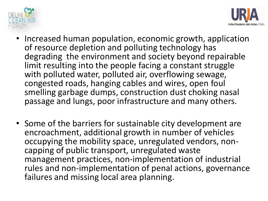



- Increased human population, economic growth, application of resource depletion and polluting technology has degrading the environment and society beyond repairable limit resulting into the people facing a constant struggle with polluted water, polluted air, overflowing sewage, congested roads, hanging cables and wires, open foul smelling garbage dumps, construction dust choking nasal passage and lungs, poor infrastructure and many others.
- Some of the barriers for sustainable city development are encroachment, additional growth in number of vehicles occupying the mobility space, unregulated vendors, noncapping of public transport, unregulated waste management practices, non-implementation of industrial rules and non-implementation of penal actions, governance failures and missing local area planning.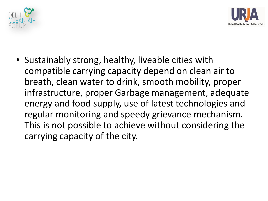



• Sustainably strong, healthy, liveable cities with compatible carrying capacity depend on clean air to breath, clean water to drink, smooth mobility, proper infrastructure, proper Garbage management, adequate energy and food supply, use of latest technologies and regular monitoring and speedy grievance mechanism. This is not possible to achieve without considering the carrying capacity of the city.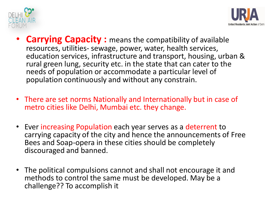



- **Carrying Capacity :** means the compatibility of available resources, utilities- sewage, power, water, health services, education services, infrastructure and transport, housing, urban & rural green lung, security etc. in the state that can cater to the needs of population or accommodate a particular level of population continuously and without any constrain.
- There are set norms Nationally and Internationally but in case of metro cities like Delhi, Mumbai etc. they change.
- Ever increasing Population each year serves as a deterrent to carrying capacity of the city and hence the announcements of Free Bees and Soap-opera in these cities should be completely discouraged and banned.
- The political compulsions cannot and shall not encourage it and methods to control the same must be developed. May be a challenge?? To accomplish it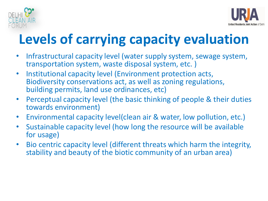



# **Levels of carrying capacity evaluation**

- Infrastructural capacity level (water supply system, sewage system, transportation system, waste disposal system, etc. )
- Institutional capacity level (Environment protection acts, Biodiversity conservations act, as well as zoning regulations, building permits, land use ordinances, etc)
- Perceptual capacity level (the basic thinking of people & their duties towards environment)
- Environmental capacity level(clean air & water, low pollution, etc.)
- Sustainable capacity level (how long the resource will be available for usage)
- Bio centric capacity level (different threats which harm the integrity, stability and beauty of the biotic community of an urban area)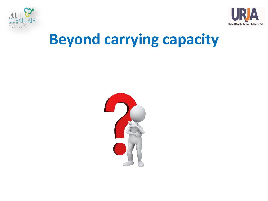



## **Beyond carrying capacity**

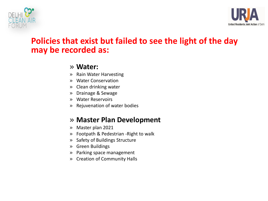



#### **Policies that exist but failed to see the light of the day may be recorded as:**

#### » **Water:**

- » Rain Water Harvesting
- » Water Conservation
- » Clean drinking water
- » Drainage & Sewage
- » Water Reservoirs
- » Rejuvenation of water bodies

#### » **Master Plan Development**

- » Master plan 2021
- » Footpath & Pedestrian -Right to walk
- » Safety of Buildings Structure
- » Green Buildings
- » Parking space management
- » Creation of Community Halls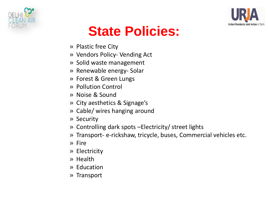



## **State Policies:**

- » Plastic free City
- » Vendors Policy- Vending Act
- » Solid waste management
- » Renewable energy- Solar
- » Forest & Green Lungs
- » Pollution Control
- » Noise & Sound
- » City aesthetics & Signage's
- » Cable/ wires hanging around
- » Security
- » Controlling dark spots –Electricity/ street lights
- » Transport- e-rickshaw, tricycle, buses, Commercial vehicles etc.
- » Fire
- » Electricity
- » Health
- » Education
- » Transport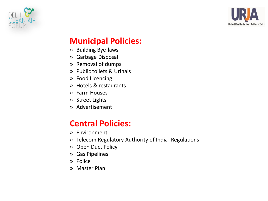



#### **Municipal Policies:**

- » Building Bye-laws
- » Garbage Disposal
- » Removal of dumps
- » Public toilets & Urinals
- » Food Licencing
- » Hotels & restaurants
- » Farm Houses
- » Street Lights
- » Advertisement

#### **Central Policies:**

- » Environment
- » Telecom Regulatory Authority of India- Regulations
- » Open Duct Policy
- » Gas Pipelines
- » Police
- » Master Plan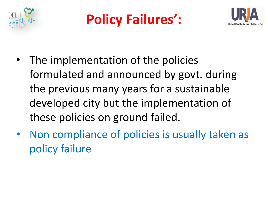





- The implementation of the policies formulated and announced by govt. during the previous many years for a sustainable developed city but the implementation of these policies on ground failed.
- Non compliance of policies is usually taken as policy failure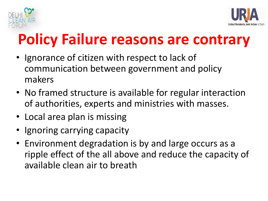



# **Policy Failure reasons are contrary**

- Ignorance of citizen with respect to lack of communication between government and policy makers
- No framed structure is available for regular interaction of authorities, experts and ministries with masses.
- Local area plan is missing
- Ignoring carrying capacity
- Environment degradation is by and large occurs as a ripple effect of the all above and reduce the capacity of available clean air to breath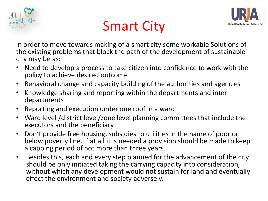





In order to move towards making of a smart city some workable Solutions of the existing problems that block the path of the development of sustainable city may be as:

- Need to develop a process to take citizen into confidence to work with the policy to achieve desired outcome
- Behavioral change and capacity building of the authorities and agencies
- Knowledge sharing and reporting within the departments and inter departments
- Reporting and execution under one roof in a ward
- Ward level /district level/zone level planning committees that include the executors and the beneficiary
- Don't provide free housing, subsidies to utilities in the name of poor or below poverty line. If at all it is needed a provision should be made to keep a capping period of not more than three years.
- Besides this, each and every step planned for the advancement of the city should be only initiated taking the carrying capacity into consideration, without which any development would not sustain for land and eventually effect the environment and society adversely.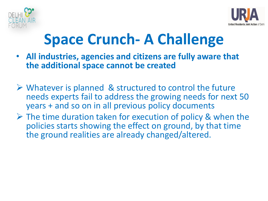



# **Space Crunch- A Challenge**

- **All industries, agencies and citizens are fully aware that the additional space cannot be created**
- $\triangleright$  Whatever is planned & structured to control the future needs experts fail to address the growing needs for next 50 years + and so on in all previous policy documents
- $\triangleright$  The time duration taken for execution of policy & when the policies starts showing the effect on ground, by that time the ground realities are already changed/altered.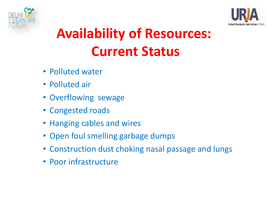



# **Availability of Resources: Current Status**

- Polluted water
- Polluted air
- Overflowing sewage
- Congested roads
- Hanging cables and wires
- Open foul smelling garbage dumps
- Construction dust choking nasal passage and lungs
- Poor infrastructure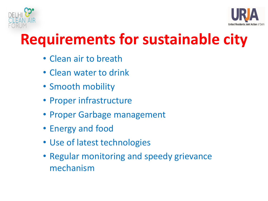



# **Requirements for sustainable city**

- Clean air to breath
- Clean water to drink
- Smooth mobility
- Proper infrastructure
- Proper Garbage management
- Energy and food
- Use of latest technologies
- Regular monitoring and speedy grievance mechanism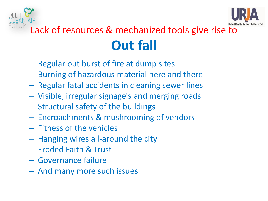



## Lack of resources & mechanized tools give rise to **Out fall**

- Regular out burst of fire at dump sites
- Burning of hazardous material here and there
- Regular fatal accidents in cleaning sewer lines
- Visible, irregular signage's and merging roads
- Structural safety of the buildings
- Encroachments & mushrooming of vendors
- Fitness of the vehicles
- Hanging wires all-around the city
- Eroded Faith & Trust
- Governance failure
- And many more such issues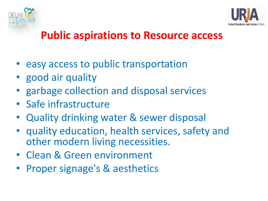



### **Public aspirations to Resource access**

- easy access to public transportation
- good air quality
- garbage collection and disposal services
- Safe infrastructure
- Quality drinking water & sewer disposal
- quality education, health services, safety and other modern living necessities.
- Clean & Green environment
- Proper signage's & aesthetics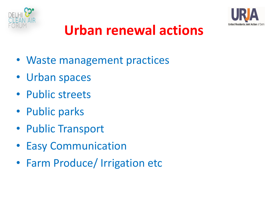



## **Urban renewal actions**

- Waste management practices
- Urban spaces
- Public streets
- Public parks
- Public Transport
- Easy Communication
- Farm Produce/ Irrigation etc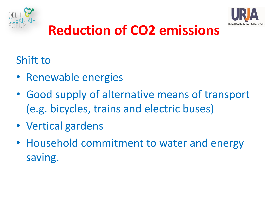



## **Reduction of CO2 emissions**

### Shift to

- Renewable energies
- Good supply of alternative means of transport (e.g. bicycles, trains and electric buses)
- Vertical gardens
- Household commitment to water and energy saving.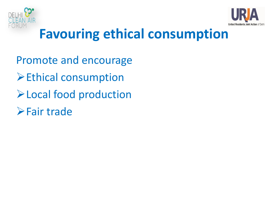



## **Favouring ethical consumption**

Promote and encourage **Ethical consumption** Local food production Fair trade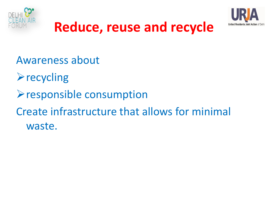



## **Reduce, reuse and recycle**

Awareness about

- $\triangleright$  recycling
- $\triangleright$  responsible consumption
- Create infrastructure that allows for minimal waste.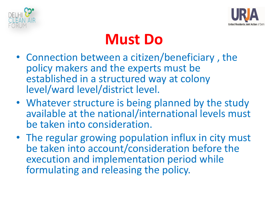



## **Must Do**

- Connection between a citizen/beneficiary , the policy makers and the experts must be established in a structured way at colony level/ward level/district level.
- Whatever structure is being planned by the study available at the national/international levels must be taken into consideration.
- The regular growing population influx in city must be taken into account/consideration before the execution and implementation period while formulating and releasing the policy.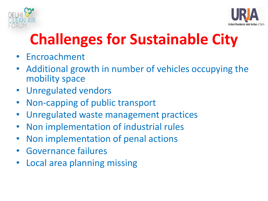



# **Challenges for Sustainable City**

- Encroachment
- Additional growth in number of vehicles occupying the mobility space
- Unregulated vendors
- Non-capping of public transport
- Unregulated waste management practices
- Non implementation of industrial rules
- Non implementation of penal actions
- Governance failures
- Local area planning missing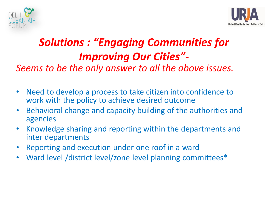



### *Solutions : "Engaging Communities for Improving Our Cities"-*

*Seems to be the only answer to all the above issues.*

- Need to develop a process to take citizen into confidence to work with the policy to achieve desired outcome
- Behavioral change and capacity building of the authorities and agencies
- Knowledge sharing and reporting within the departments and inter departments
- Reporting and execution under one roof in a ward
- Ward level /district level/zone level planning committees\*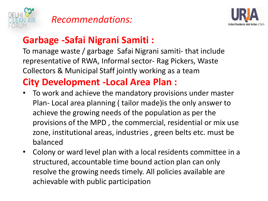

#### *Recommendations:*



#### **Garbage -Safai Nigrani Samiti :**

To manage waste / garbage Safai Nigrani samiti- that include representative of RWA, Informal sector- Rag Pickers, Waste Collectors & Municipal Staff jointly working as a team

#### **City Development -Local Area Plan :**

- To work and achieve the mandatory provisions under master Plan- Local area planning ( tailor made)is the only answer to achieve the growing needs of the population as per the provisions of the MPD , the commercial, residential or mix use zone, institutional areas, industries , green belts etc. must be balanced
- Colony or ward level plan with a local residents committee in a structured, accountable time bound action plan can only resolve the growing needs timely. All policies available are achievable with public participation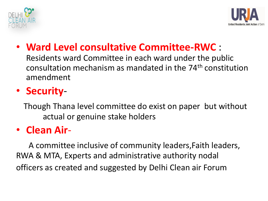



#### • **Ward Level consultative Committee-RWC** :

Residents ward Committee in each ward under the public consultation mechanism as mandated in the 74th constitution amendment

### • **Security**-

 Though Thana level committee do exist on paper but without actual or genuine stake holders

#### • **Clean Air**-

 A committee inclusive of community leaders,Faith leaders, RWA & MTA, Experts and administrative authority nodal officers as created and suggested by Delhi Clean air Forum